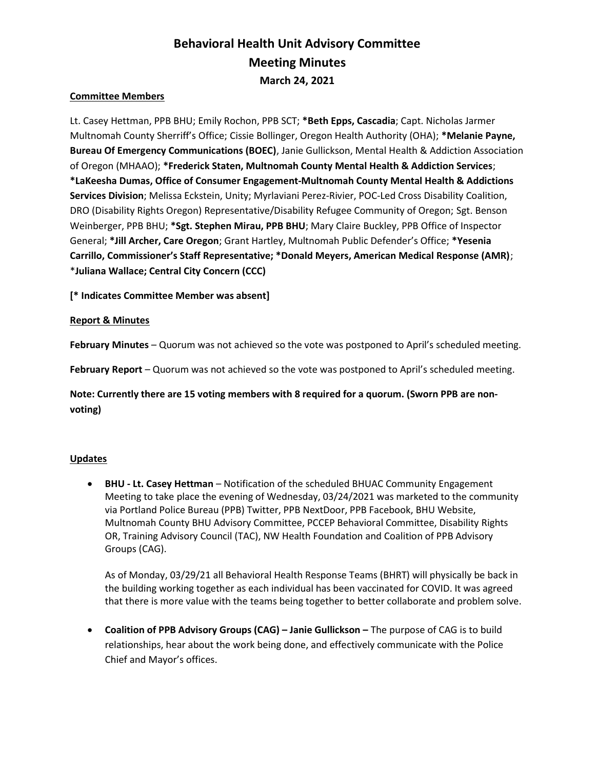# Behavioral Health Unit Advisory Committee Meeting Minutes March 24, 2021

# Committee Members

Lt. Casey Hettman, PPB BHU; Emily Rochon, PPB SCT; \*Beth Epps, Cascadia; Capt. Nicholas Jarmer Multnomah County Sherriff's Office; Cissie Bollinger, Oregon Health Authority (OHA); \*Melanie Payne, Bureau Of Emergency Communications (BOEC), Janie Gullickson, Mental Health & Addiction Association of Oregon (MHAAO); \*Frederick Staten, Multnomah County Mental Health & Addiction Services; \*LaKeesha Dumas, Office of Consumer Engagement-Multnomah County Mental Health & Addictions Services Division; Melissa Eckstein, Unity; Myrlaviani Perez-Rivier, POC-Led Cross Disability Coalition, DRO (Disability Rights Oregon) Representative/Disability Refugee Community of Oregon; Sgt. Benson Weinberger, PPB BHU; \*Sgt. Stephen Mirau, PPB BHU; Mary Claire Buckley, PPB Office of Inspector General; \*Jill Archer, Care Oregon; Grant Hartley, Multnomah Public Defender's Office; \*Yesenia Carrillo, Commissioner's Staff Representative; \*Donald Meyers, American Medical Response (AMR); \*Juliana Wallace; Central City Concern (CCC)

[\* Indicates Committee Member was absent]

## Report & Minutes

February Minutes – Quorum was not achieved so the vote was postponed to April's scheduled meeting.

February Report – Quorum was not achieved so the vote was postponed to April's scheduled meeting.

Note: Currently there are 15 voting members with 8 required for a quorum. (Sworn PPB are nonvoting)

#### **Updates**

• BHU - Lt. Casey Hettman – Notification of the scheduled BHUAC Community Engagement Meeting to take place the evening of Wednesday, 03/24/2021 was marketed to the community via Portland Police Bureau (PPB) Twitter, PPB NextDoor, PPB Facebook, BHU Website, Multnomah County BHU Advisory Committee, PCCEP Behavioral Committee, Disability Rights OR, Training Advisory Council (TAC), NW Health Foundation and Coalition of PPB Advisory Groups (CAG).

As of Monday, 03/29/21 all Behavioral Health Response Teams (BHRT) will physically be back in the building working together as each individual has been vaccinated for COVID. It was agreed that there is more value with the teams being together to better collaborate and problem solve.

 Coalition of PPB Advisory Groups (CAG) – Janie Gullickson – The purpose of CAG is to build relationships, hear about the work being done, and effectively communicate with the Police Chief and Mayor's offices.